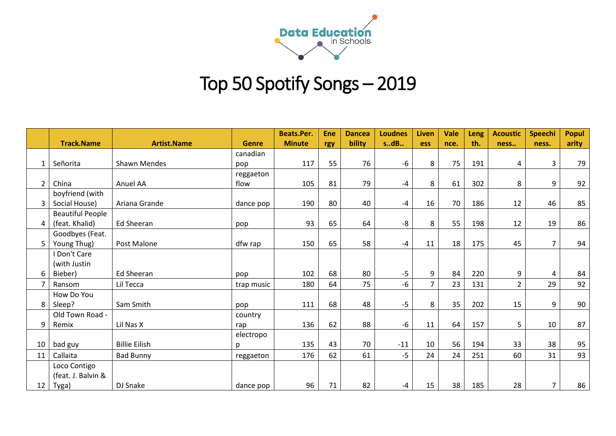

## Top 50 Spotify Songs – 2019

|                |                         |                      |              | <b>Beats.Per.</b> | <b>Ene</b> | <b>Dancea</b> | <b>Loudnes</b> | <b>Liven</b>   | <b>Vale</b> | Leng | <b>Acoustic</b> | Speechi                 | <b>Popul</b> |
|----------------|-------------------------|----------------------|--------------|-------------------|------------|---------------|----------------|----------------|-------------|------|-----------------|-------------------------|--------------|
|                | <b>Track.Name</b>       | <b>Artist.Name</b>   | <b>Genre</b> | <b>Minute</b>     | rgy        | bility        | sdB            | <b>ess</b>     | nce.        | th.  | ness            | ness.                   | arity        |
|                |                         |                      | canadian     |                   |            |               |                |                |             |      |                 |                         |              |
| 1              | Señorita                | <b>Shawn Mendes</b>  | pop          | 117               | 55         | 76            | $-6$           | 8              | 75          | 191  | 4               | 3                       | 79           |
|                |                         |                      | reggaeton    |                   |            |               |                |                |             |      |                 |                         |              |
| $\overline{2}$ | China                   | Anuel AA             | flow         | 105               | 81         | 79            | $-4$           | 8              | 61          | 302  | 8               | 9                       | 92           |
|                | boyfriend (with         |                      |              |                   |            |               |                |                |             |      |                 |                         |              |
| $\overline{3}$ | Social House)           | Ariana Grande        | dance pop    | 190               | 80         | 40            | $-4$           | 16             | 70          | 186  | 12              | 46                      | 85           |
|                | <b>Beautiful People</b> |                      |              |                   |            |               |                |                |             |      |                 |                         |              |
| $4 \mid$       | (feat. Khalid)          | <b>Ed Sheeran</b>    | pop          | 93                | 65         | 64            | -8             | 8              | 55          | 198  | 12              | 19                      | 86           |
|                | Goodbyes (Feat.         |                      |              |                   |            |               |                |                |             |      |                 |                         |              |
| 5              | Young Thug)             | Post Malone          | dfw rap      | 150               | 65         | 58            | -4             | 11             | 18          | 175  | 45              | $\overline{7}$          | 94           |
|                | I Don't Care            |                      |              |                   |            |               |                |                |             |      |                 |                         |              |
|                | (with Justin            |                      |              |                   |            |               |                |                |             |      |                 |                         |              |
| 6              | Bieber)                 | Ed Sheeran           | pop          | 102               | 68         | 80            | $-5$           | 9              | 84          | 220  | 9               | $\overline{\mathbf{4}}$ | 84           |
|                | Ransom                  | Lil Tecca            | trap music   | 180               | 64         | 75            | $-6$           | $\overline{7}$ | 23          | 131  | $\overline{2}$  | 29                      | 92           |
|                | How Do You              |                      |              |                   |            |               |                |                |             |      |                 |                         |              |
| 8              | Sleep?                  | Sam Smith            | pop          | 111               | 68         | 48            | $-5$           | 8              | 35          | 202  | 15              | 9                       | 90           |
|                | Old Town Road -         |                      | country      |                   |            |               |                |                |             |      |                 |                         |              |
| 9              | Remix                   | Lil Nas X            | rap          | 136               | 62         | 88            | $-6$           | 11             | 64          | 157  | 5               | 10                      | 87           |
|                |                         |                      | electropo    |                   |            |               |                |                |             |      |                 |                         |              |
| 10             | bad guy                 | <b>Billie Eilish</b> | p            | 135               | 43         | 70            | $-11$          | 10             | 56          | 194  | 33              | 38                      | 95           |
| 11             | Callaita                | <b>Bad Bunny</b>     | reggaeton    | 176               | 62         | 61            | $-5$           | 24             | 24          | 251  | 60              | 31                      | 93           |
|                | Loco Contigo            |                      |              |                   |            |               |                |                |             |      |                 |                         |              |
|                | (feat. J. Balvin &      |                      |              |                   |            |               |                |                |             |      |                 |                         |              |
| 12             | Tyga)                   | DJ Snake             | dance pop    | 96                | 71         | 82            | -4             | 15             | 38          | 185  | 28              | $\overline{7}$          | 86           |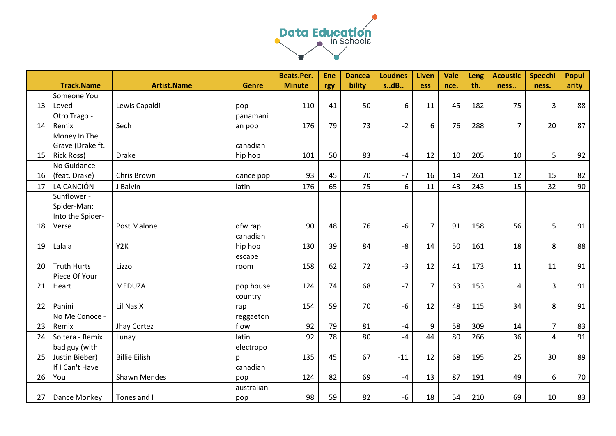

|                 |                    |                      |              | <b>Beats.Per.</b> | <b>Ene</b> | <b>Dancea</b> | <b>Loudnes</b> | Liven          | <b>Vale</b> | Leng | <b>Acoustic</b> | Speechi        | <b>Popul</b> |
|-----------------|--------------------|----------------------|--------------|-------------------|------------|---------------|----------------|----------------|-------------|------|-----------------|----------------|--------------|
|                 | <b>Track.Name</b>  | <b>Artist.Name</b>   | <b>Genre</b> | <b>Minute</b>     | rgy        | bility        | sdB            | ess            | nce.        | th.  | ness            | ness.          | arity        |
|                 | Someone You        |                      |              |                   |            |               |                |                |             |      |                 |                |              |
| 13              | Loved              | Lewis Capaldi        | pop          | 110               | 41         | 50            | -6             | 11             | 45          | 182  | 75              | 3              | 88           |
|                 | Otro Trago -       |                      | panamani     |                   |            |               |                |                |             |      |                 |                |              |
| 14              | Remix              | Sech                 | an pop       | 176               | 79         | 73            | $-2$           | 6              | 76          | 288  | $\overline{7}$  | 20             | 87           |
|                 | Money In The       |                      |              |                   |            |               |                |                |             |      |                 |                |              |
|                 | Grave (Drake ft.   |                      | canadian     |                   |            |               |                |                |             |      |                 |                |              |
| 15              | <b>Rick Ross)</b>  | <b>Drake</b>         | hip hop      | 101               | 50         | 83            | $-4$           | 12             | 10          | 205  | 10              | 5              | 92           |
|                 | No Guidance        |                      |              |                   |            |               |                |                |             |      |                 |                |              |
| 16              | (feat. Drake)      | Chris Brown          | dance pop    | 93                | 45         | 70            | $-7$           | 16             | 14          | 261  | 12              | 15             | 82           |
| 17              | LA CANCIÓN         | J Balvin             | latin        | 176               | 65         | 75            | $-6$           | 11             | 43          | 243  | 15              | 32             | 90           |
|                 | Sunflower -        |                      |              |                   |            |               |                |                |             |      |                 |                |              |
|                 | Spider-Man:        |                      |              |                   |            |               |                |                |             |      |                 |                |              |
|                 | Into the Spider-   |                      |              |                   |            |               |                |                |             |      |                 |                |              |
| 18              | Verse              | Post Malone          | dfw rap      | 90                | 48         | 76            | $-6$           | $\overline{7}$ | 91          | 158  | 56              | 5              | 91           |
|                 |                    |                      | canadian     |                   |            |               |                |                |             |      |                 |                |              |
| 19              | Lalala             | Y2K                  | hip hop      | 130               | 39         | 84            | -8             | 14             | 50          | 161  | 18              | 8              | 88           |
|                 |                    |                      | escape       |                   |            |               |                |                |             |      |                 |                |              |
| 20 <sup>1</sup> | <b>Truth Hurts</b> | Lizzo                | room         | 158               | 62         | 72            | $-3$           | 12             | 41          | 173  | 11              | 11             | 91           |
|                 | Piece Of Your      |                      |              |                   |            |               |                |                |             |      |                 |                |              |
| 21              | Heart              | <b>MEDUZA</b>        | pop house    | 124               | 74         | 68            | $-7$           | $\overline{7}$ | 63          | 153  | 4               | $\overline{3}$ | 91           |
|                 |                    |                      | country      |                   |            |               |                |                |             |      |                 |                |              |
| 22              | Panini             | Lil Nas X            | rap          | 154               | 59         | 70            | $-6$           | 12             | 48          | 115  | 34              | 8              | 91           |
|                 | No Me Conoce -     |                      | reggaeton    |                   |            |               |                |                |             |      |                 |                |              |
| 23              | Remix              | Jhay Cortez          | flow         | 92                | 79         | 81            | -4             | 9              | 58          | 309  | 14              | $\overline{7}$ | 83           |
| 24              | Soltera - Remix    | Lunay                | latin        | 92                | 78         | 80            | -4             | 44             | 80          | 266  | 36              | $\overline{4}$ | 91           |
|                 | bad guy (with      |                      | electropo    |                   |            |               |                |                |             |      |                 |                |              |
| 25              | Justin Bieber)     | <b>Billie Eilish</b> | p            | 135               | 45         | 67            | $-11$          | 12             | 68          | 195  | 25              | 30             | 89           |
|                 | If I Can't Have    |                      | canadian     |                   |            |               |                |                |             |      |                 |                |              |
| 26              | You                | <b>Shawn Mendes</b>  | pop          | 124               | 82         | 69            | $-4$           | 13             | 87          | 191  | 49              | 6              | 70           |
|                 |                    |                      | australian   |                   |            |               |                |                |             |      |                 |                |              |
| 27 <sub>1</sub> | Dance Monkey       | Tones and I          | pop          | 98                | 59         | 82            | -6             | 18             | 54          | 210  | 69              | 10             | 83           |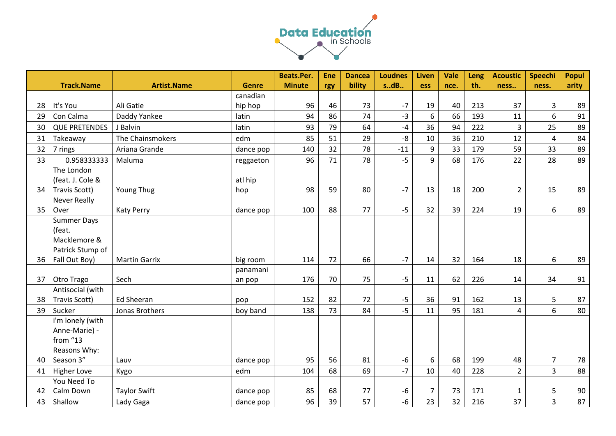

|    |                      |                      |              | <b>Beats.Per.</b> | <b>Ene</b> | <b>Dancea</b> | <b>Loudnes</b> | Liven          | <b>Vale</b> | <b>Leng</b> | <b>Acoustic</b> | <b>Speechi</b> | <b>Popul</b> |
|----|----------------------|----------------------|--------------|-------------------|------------|---------------|----------------|----------------|-------------|-------------|-----------------|----------------|--------------|
|    | <b>Track.Name</b>    | <b>Artist.Name</b>   | <b>Genre</b> | <b>Minute</b>     | rgy        | bility        | sdB            | <b>ess</b>     | nce.        | th.         | ness            | ness.          | arity        |
|    |                      |                      | canadian     |                   |            |               |                |                |             |             |                 |                |              |
| 28 | It's You             | Ali Gatie            | hip hop      | 96                | 46         | 73            | $-7$           | 19             | 40          | 213         | 37              | 3              | 89           |
| 29 | Con Calma            | Daddy Yankee         | latin        | 94                | 86         | 74            | $-3$           | 6              | 66          | 193         | 11              | 6              | 91           |
| 30 | <b>QUE PRETENDES</b> | J Balvin             | latin        | 93                | 79         | 64            | $-4$           | 36             | 94          | 222         | 3               | 25             | 89           |
| 31 | Takeaway             | The Chainsmokers     | edm          | 85                | 51         | 29            | $-8$           | $10\,$         | 36          | 210         | 12              | 4              | 84           |
| 32 | 7 rings              | Ariana Grande        | dance pop    | 140               | 32         | 78            | $-11$          | 9              | 33          | 179         | 59              | 33             | 89           |
| 33 | 0.958333333          | Maluma               | reggaeton    | 96                | 71         | 78            | $-5$           | 9              | 68          | 176         | 22              | 28             | 89           |
|    | The London           |                      |              |                   |            |               |                |                |             |             |                 |                |              |
|    | (feat. J. Cole &     |                      | atl hip      |                   |            |               |                |                |             |             |                 |                |              |
| 34 | Travis Scott)        | Young Thug           | hop          | 98                | 59         | 80            | $-7$           | 13             | 18          | 200         | $\overline{2}$  | 15             | 89           |
|    | <b>Never Really</b>  |                      |              |                   |            |               |                |                |             |             |                 |                |              |
| 35 | Over                 | <b>Katy Perry</b>    | dance pop    | 100               | 88         | 77            | $-5$           | 32             | 39          | 224         | 19              | 6              | 89           |
|    | <b>Summer Days</b>   |                      |              |                   |            |               |                |                |             |             |                 |                |              |
|    | (feat.               |                      |              |                   |            |               |                |                |             |             |                 |                |              |
|    | Macklemore &         |                      |              |                   |            |               |                |                |             |             |                 |                |              |
|    | Patrick Stump of     |                      |              |                   |            |               |                |                |             |             |                 |                |              |
| 36 | Fall Out Boy)        | <b>Martin Garrix</b> | big room     | 114               | 72         | 66            | $-7$           | 14             | 32          | 164         | 18              | 6              | 89           |
|    |                      |                      | panamani     |                   |            |               |                |                |             |             |                 |                |              |
| 37 | Otro Trago           | Sech                 | an pop       | 176               | 70         | 75            | $-5$           | 11             | 62          | 226         | 14              | 34             | 91           |
|    | Antisocial (with     |                      |              |                   |            |               |                |                |             |             |                 |                |              |
| 38 | Travis Scott)        | Ed Sheeran           | pop          | 152               | 82         | 72            | $-5$           | 36             | 91          | 162         | 13              | 5              | 87           |
| 39 | Sucker               | Jonas Brothers       | boy band     | 138               | 73         | 84            | $-5$           | 11             | 95          | 181         | $\overline{4}$  | 6              | 80           |
|    | i'm lonely (with     |                      |              |                   |            |               |                |                |             |             |                 |                |              |
|    | Anne-Marie) -        |                      |              |                   |            |               |                |                |             |             |                 |                |              |
|    | from "13             |                      |              |                   |            |               |                |                |             |             |                 |                |              |
|    | Reasons Why:         |                      |              |                   |            |               |                |                |             |             |                 |                |              |
| 40 | Season 3"            | Lauv                 | dance pop    | 95                | 56         | 81            | $-6$           | 6              | 68          | 199         | 48              | $\overline{7}$ | 78           |
| 41 | <b>Higher Love</b>   | Kygo                 | edm          | 104               | 68         | 69            | $-7$           | 10             | 40          | 228         | $\overline{2}$  | $\overline{3}$ | 88           |
|    | You Need To          |                      |              |                   |            |               |                |                |             |             |                 |                |              |
| 42 | Calm Down            | <b>Taylor Swift</b>  | dance pop    | 85                | 68         | 77            | -6             | $\overline{7}$ | 73          | 171         | 1               | 5              | 90           |
| 43 | Shallow              | Lady Gaga            | dance pop    | 96                | 39         | 57            | $-6$           | 23             | 32          | 216         | 37              | $\overline{3}$ | 87           |